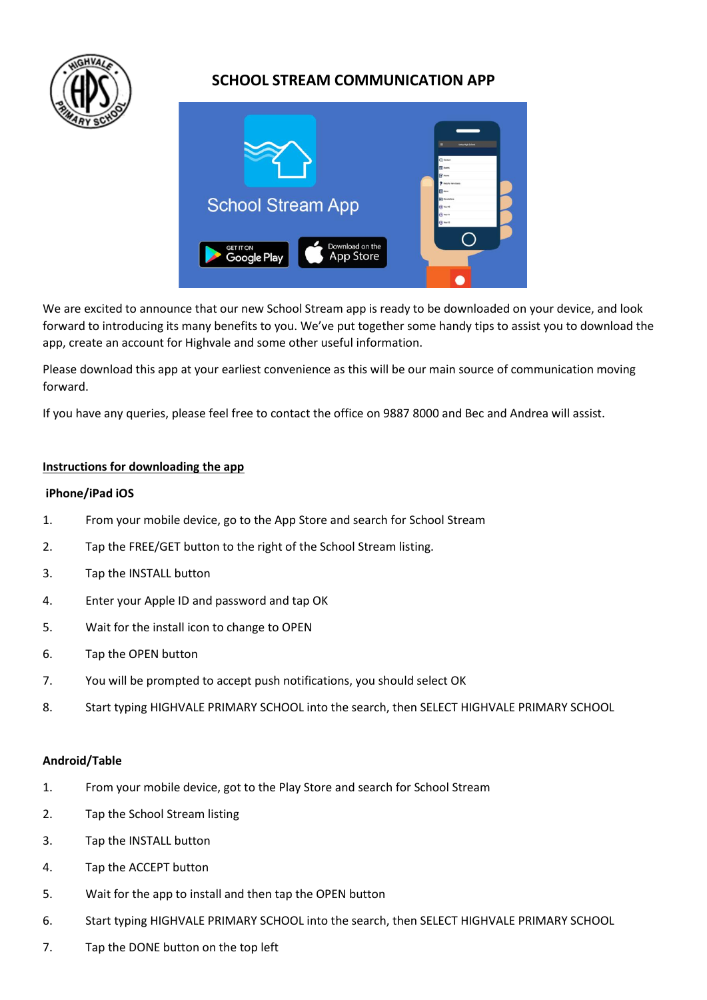

# **SCHOOL STREAM COMMUNICATION APP**



We are excited to announce that our new School Stream app is ready to be downloaded on your device, and look forward to introducing its many benefits to you. We've put together some handy tips to assist you to download the app, create an account for Highvale and some other useful information.

Please download this app at your earliest convenience as this will be our main source of communication moving forward.

If you have any queries, please feel free to contact the office on 9887 8000 and Bec and Andrea will assist.

### **Instructions for downloading the app**

#### **iPhone/iPad iOS**

- 1. From your mobile device, go to the App Store and search for School Stream
- 2. Tap the FREE/GET button to the right of the School Stream listing.
- 3. Tap the INSTALL button
- 4. Enter your Apple ID and password and tap OK
- 5. Wait for the install icon to change to OPEN
- 6. Tap the OPEN button
- 7. You will be prompted to accept push notifications, you should select OK
- 8. Start typing HIGHVALE PRIMARY SCHOOL into the search, then SELECT HIGHVALE PRIMARY SCHOOL

#### **Android/Table**

- 1. From your mobile device, got to the Play Store and search for School Stream
- 2. Tap the School Stream listing
- 3. Tap the INSTALL button
- 4. Tap the ACCEPT button
- 5. Wait for the app to install and then tap the OPEN button
- 6. Start typing HIGHVALE PRIMARY SCHOOL into the search, then SELECT HIGHVALE PRIMARY SCHOOL
- 7. Tap the DONE button on the top left